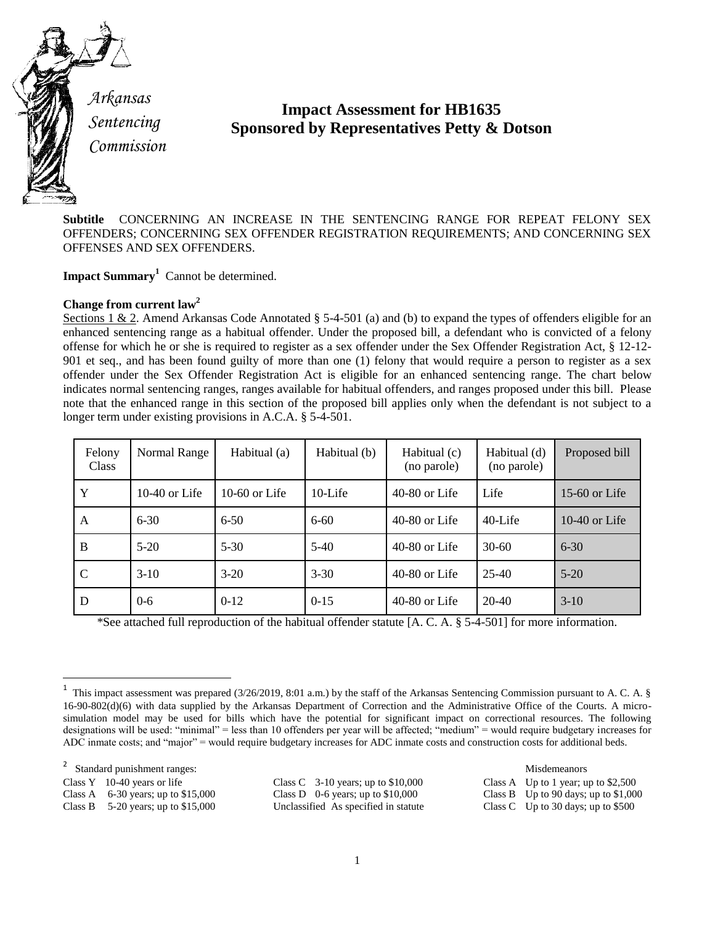

*Arkansas Sentencing Commission*

# **Impact Assessment for HB1635 Sponsored by Representatives Petty & Dotson**

**Subtitle** CONCERNING AN INCREASE IN THE SENTENCING RANGE FOR REPEAT FELONY SEX OFFENDERS; CONCERNING SEX OFFENDER REGISTRATION REQUIREMENTS; AND CONCERNING SEX OFFENSES AND SEX OFFENDERS.

**Impact Summary<sup>1</sup>** Cannot be determined.

# **Change from current law<sup>2</sup>**

Sections 1 & 2. Amend Arkansas Code Annotated § 5-4-501 (a) and (b) to expand the types of offenders eligible for an enhanced sentencing range as a habitual offender. Under the proposed bill, a defendant who is convicted of a felony offense for which he or she is required to register as a sex offender under the Sex Offender Registration Act, § 12-12- 901 et seq., and has been found guilty of more than one (1) felony that would require a person to register as a sex offender under the Sex Offender Registration Act is eligible for an enhanced sentencing range. The chart below indicates normal sentencing ranges, ranges available for habitual offenders, and ranges proposed under this bill. Please note that the enhanced range in this section of the proposed bill applies only when the defendant is not subject to a longer term under existing provisions in A.C.A. § 5-4-501.

| Felony<br><b>Class</b> | Normal Range    | Habitual (a)  | Habitual (b) | Habitual (c)<br>(no parole) | Habitual (d)<br>(no parole) | Proposed bill |
|------------------------|-----------------|---------------|--------------|-----------------------------|-----------------------------|---------------|
| Y                      | $10-40$ or Life | 10-60 or Life | $10$ -Life   | $40-80$ or Life             | Life                        | 15-60 or Life |
| A                      | $6 - 30$        | $6 - 50$      | $6 - 60$     | $40-80$ or Life             | 40-Life                     | 10-40 or Life |
| B                      | $5-20$          | $5 - 30$      | $5-40$       | $40-80$ or Life             | $30-60$                     | $6 - 30$      |
| $\mathcal{C}$          | $3-10$          | $3-20$        | $3 - 30$     | $40-80$ or Life             | $25-40$                     | $5 - 20$      |
| D                      | $0 - 6$         | $0-12$        | $0-15$       | $40-80$ or Life             | $20-40$                     | $3-10$        |

\*See attached full reproduction of the habitual offender statute [A. C. A. § 5-4-501] for more information.

2 Standard punishment ranges: Misdemeanors

 $\overline{\phantom{a}}$ 

Class D 0-6 years; up to \$10,000 Class B Up to 90 days; up to \$1,000 Unclassified As specified in statute Class C Up to 30 days; up to \$500 Class B 5-20 years; up to \$15,000 Unclassified As specified in statute

Class Y 10-40 years or life Class C 3-10 years; up to \$10,000 Class A Up to 1 year; up to \$2,500 Class A 6-30 years; up to \$15,000 Class D 0-6 years; up to \$10,000 Class B Up to 90 days; up to \$1,000

<sup>1</sup> This impact assessment was prepared (3/26/2019, 8:01 a.m.) by the staff of the Arkansas Sentencing Commission pursuant to A. C. A. § 16-90-802(d)(6) with data supplied by the Arkansas Department of Correction and the Administrative Office of the Courts. A microsimulation model may be used for bills which have the potential for significant impact on correctional resources. The following designations will be used: "minimal" = less than 10 offenders per year will be affected; "medium" = would require budgetary increases for ADC inmate costs; and "major" = would require budgetary increases for ADC inmate costs and construction costs for additional beds.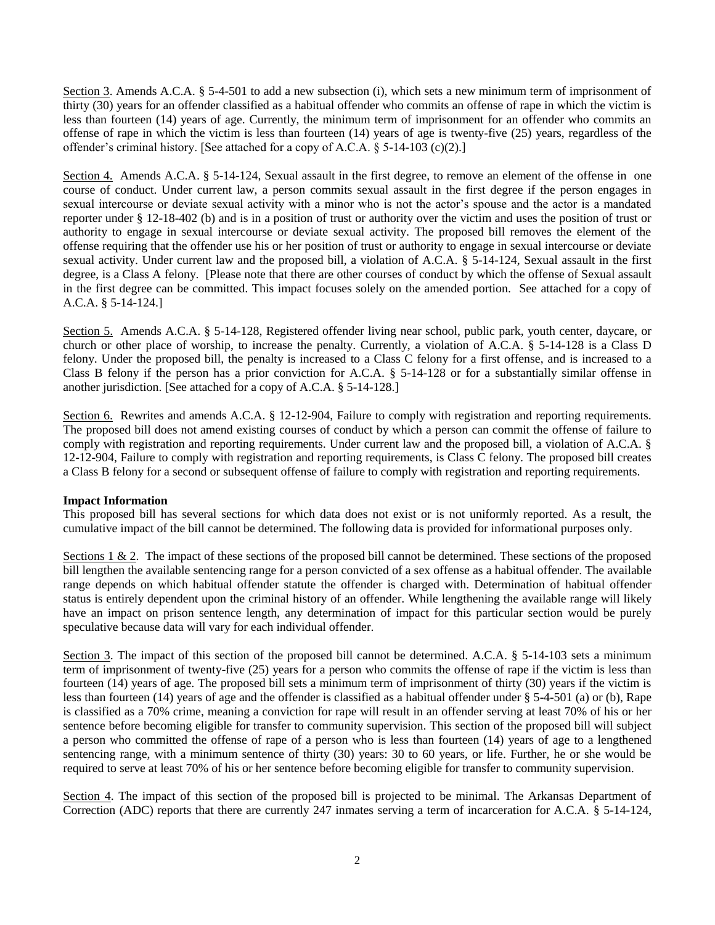Section 3. Amends A.C.A. § 5-4-501 to add a new subsection (i), which sets a new minimum term of imprisonment of thirty (30) years for an offender classified as a habitual offender who commits an offense of rape in which the victim is less than fourteen (14) years of age. Currently, the minimum term of imprisonment for an offender who commits an offense of rape in which the victim is less than fourteen (14) years of age is twenty-five (25) years, regardless of the offender's criminal history. [See attached for a copy of A.C.A. § 5-14-103 (c)(2).]

Section 4. Amends A.C.A. § 5-14-124, Sexual assault in the first degree, to remove an element of the offense in one course of conduct. Under current law, a person commits sexual assault in the first degree if the person engages in sexual intercourse or deviate sexual activity with a minor who is not the actor's spouse and the actor is a mandated reporter under § 12-18-402 (b) and is in a position of trust or authority over the victim and uses the position of trust or authority to engage in sexual intercourse or deviate sexual activity. The proposed bill removes the element of the offense requiring that the offender use his or her position of trust or authority to engage in sexual intercourse or deviate sexual activity. Under current law and the proposed bill, a violation of A.C.A. § 5-14-124, Sexual assault in the first degree, is a Class A felony. [Please note that there are other courses of conduct by which the offense of Sexual assault in the first degree can be committed. This impact focuses solely on the amended portion. See attached for a copy of A.C.A. § 5-14-124.]

Section 5. Amends A.C.A. § 5-14-128, Registered offender living near school, public park, youth center, daycare, or church or other place of worship, to increase the penalty. Currently, a violation of A.C.A. § 5-14-128 is a Class D felony. Under the proposed bill, the penalty is increased to a Class C felony for a first offense, and is increased to a Class B felony if the person has a prior conviction for A.C.A. § 5-14-128 or for a substantially similar offense in another jurisdiction. [See attached for a copy of A.C.A. § 5-14-128.]

Section 6. Rewrites and amends A.C.A. § 12-12-904, Failure to comply with registration and reporting requirements. The proposed bill does not amend existing courses of conduct by which a person can commit the offense of failure to comply with registration and reporting requirements. Under current law and the proposed bill, a violation of A.C.A. § 12-12-904, Failure to comply with registration and reporting requirements, is Class C felony. The proposed bill creates a Class B felony for a second or subsequent offense of failure to comply with registration and reporting requirements.

## **Impact Information**

This proposed bill has several sections for which data does not exist or is not uniformly reported. As a result, the cumulative impact of the bill cannot be determined. The following data is provided for informational purposes only.

Sections  $1 \& 2$ . The impact of these sections of the proposed bill cannot be determined. These sections of the proposed bill lengthen the available sentencing range for a person convicted of a sex offense as a habitual offender. The available range depends on which habitual offender statute the offender is charged with. Determination of habitual offender status is entirely dependent upon the criminal history of an offender. While lengthening the available range will likely have an impact on prison sentence length, any determination of impact for this particular section would be purely speculative because data will vary for each individual offender.

Section 3. The impact of this section of the proposed bill cannot be determined. A.C.A. § 5-14-103 sets a minimum term of imprisonment of twenty-five (25) years for a person who commits the offense of rape if the victim is less than fourteen (14) years of age. The proposed bill sets a minimum term of imprisonment of thirty (30) years if the victim is less than fourteen (14) years of age and the offender is classified as a habitual offender under § 5-4-501 (a) or (b), Rape is classified as a 70% crime, meaning a conviction for rape will result in an offender serving at least 70% of his or her sentence before becoming eligible for transfer to community supervision. This section of the proposed bill will subject a person who committed the offense of rape of a person who is less than fourteen (14) years of age to a lengthened sentencing range, with a minimum sentence of thirty (30) years: 30 to 60 years, or life. Further, he or she would be required to serve at least 70% of his or her sentence before becoming eligible for transfer to community supervision.

Section 4. The impact of this section of the proposed bill is projected to be minimal. The Arkansas Department of Correction (ADC) reports that there are currently 247 inmates serving a term of incarceration for A.C.A. § 5-14-124,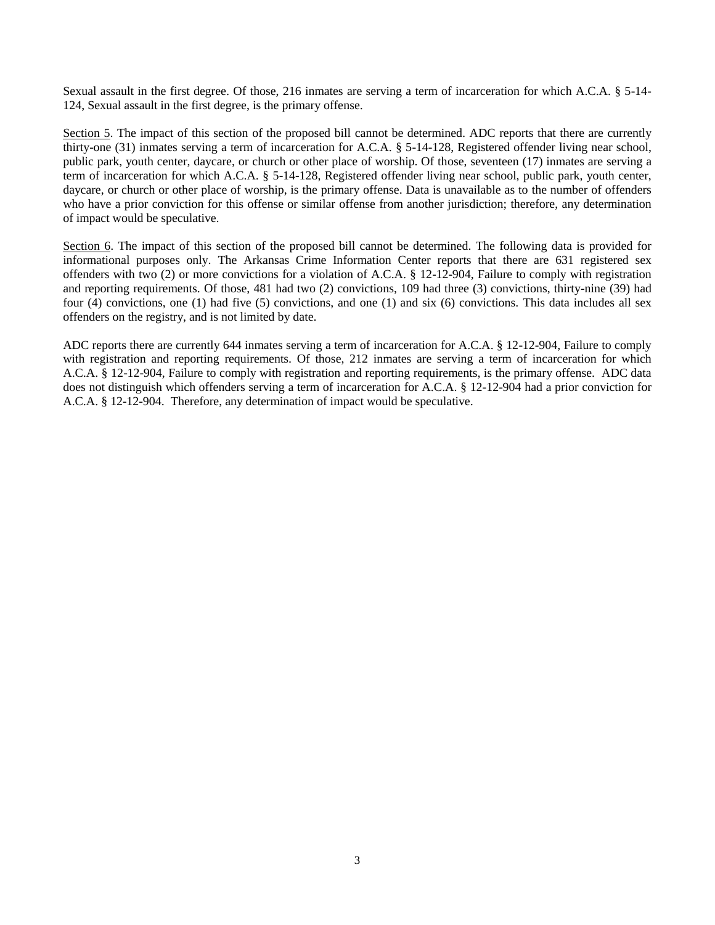Sexual assault in the first degree. Of those, 216 inmates are serving a term of incarceration for which A.C.A. § 5-14- 124, Sexual assault in the first degree, is the primary offense.

Section 5. The impact of this section of the proposed bill cannot be determined. ADC reports that there are currently thirty-one (31) inmates serving a term of incarceration for A.C.A. § 5-14-128, Registered offender living near school, public park, youth center, daycare, or church or other place of worship. Of those, seventeen (17) inmates are serving a term of incarceration for which A.C.A. § 5-14-128, Registered offender living near school, public park, youth center, daycare, or church or other place of worship, is the primary offense. Data is unavailable as to the number of offenders who have a prior conviction for this offense or similar offense from another jurisdiction; therefore, any determination of impact would be speculative.

Section 6. The impact of this section of the proposed bill cannot be determined. The following data is provided for informational purposes only. The Arkansas Crime Information Center reports that there are 631 registered sex offenders with two (2) or more convictions for a violation of A.C.A. § 12-12-904, Failure to comply with registration and reporting requirements. Of those, 481 had two (2) convictions, 109 had three (3) convictions, thirty-nine (39) had four (4) convictions, one (1) had five (5) convictions, and one (1) and six (6) convictions. This data includes all sex offenders on the registry, and is not limited by date.

ADC reports there are currently 644 inmates serving a term of incarceration for A.C.A. § 12-12-904, Failure to comply with registration and reporting requirements. Of those, 212 inmates are serving a term of incarceration for which A.C.A. § 12-12-904, Failure to comply with registration and reporting requirements, is the primary offense. ADC data does not distinguish which offenders serving a term of incarceration for A.C.A. § 12-12-904 had a prior conviction for A.C.A. § 12-12-904. Therefore, any determination of impact would be speculative.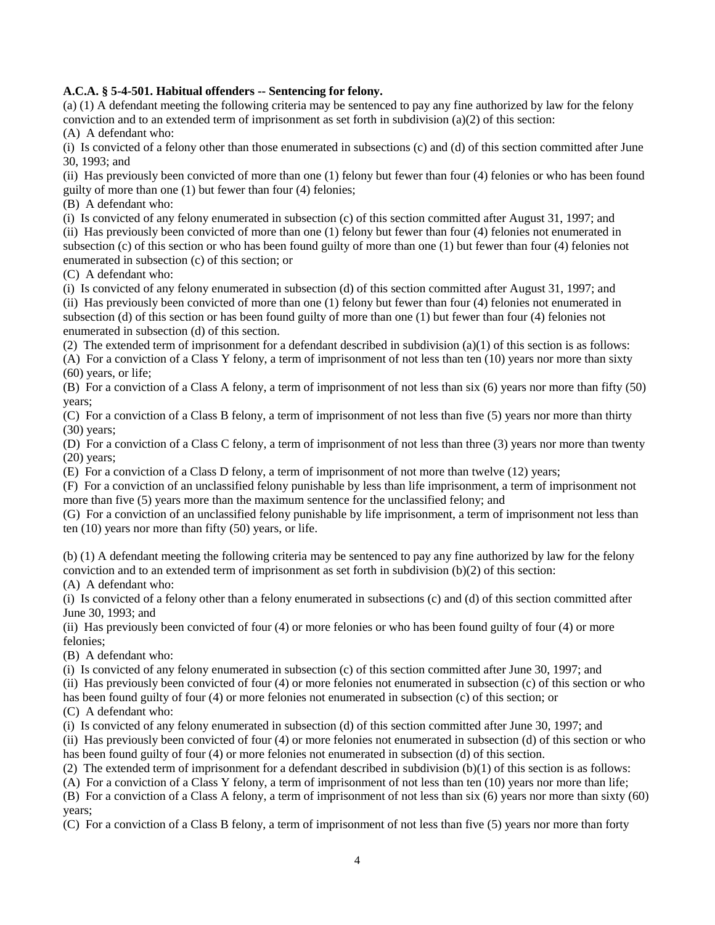#### **A.C.A. § 5-4-501. Habitual offenders -- Sentencing for felony.**

(a) (1) A defendant meeting the following criteria may be sentenced to pay any fine authorized by law for the felony conviction and to an extended term of imprisonment as set forth in subdivision (a)(2) of this section:

(A) A defendant who:

(i) Is convicted of a felony other than those enumerated in subsections (c) and (d) of this section committed after June 30, 1993; and

(ii) Has previously been convicted of more than one (1) felony but fewer than four (4) felonies or who has been found guilty of more than one (1) but fewer than four (4) felonies;

(B) A defendant who:

(i) Is convicted of any felony enumerated in subsection (c) of this section committed after August 31, 1997; and

(ii) Has previously been convicted of more than one (1) felony but fewer than four (4) felonies not enumerated in subsection (c) of this section or who has been found guilty of more than one (1) but fewer than four (4) felonies not enumerated in subsection (c) of this section; or

(C) A defendant who:

(i) Is convicted of any felony enumerated in subsection (d) of this section committed after August 31, 1997; and (ii) Has previously been convicted of more than one (1) felony but fewer than four (4) felonies not enumerated in subsection (d) of this section or has been found guilty of more than one (1) but fewer than four (4) felonies not enumerated in subsection (d) of this section.

(2) The extended term of imprisonment for a defendant described in subdivision (a)(1) of this section is as follows:

(A) For a conviction of a Class Y felony, a term of imprisonment of not less than ten (10) years nor more than sixty (60) years, or life;

(B) For a conviction of a Class A felony, a term of imprisonment of not less than six (6) years nor more than fifty (50) years;

(C) For a conviction of a Class B felony, a term of imprisonment of not less than five (5) years nor more than thirty (30) years;

(D) For a conviction of a Class C felony, a term of imprisonment of not less than three (3) years nor more than twenty (20) years;

(E) For a conviction of a Class D felony, a term of imprisonment of not more than twelve (12) years;

(F) For a conviction of an unclassified felony punishable by less than life imprisonment, a term of imprisonment not more than five (5) years more than the maximum sentence for the unclassified felony; and

(G) For a conviction of an unclassified felony punishable by life imprisonment, a term of imprisonment not less than ten (10) years nor more than fifty (50) years, or life.

(b) (1) A defendant meeting the following criteria may be sentenced to pay any fine authorized by law for the felony conviction and to an extended term of imprisonment as set forth in subdivision (b)(2) of this section:

(A) A defendant who:

(i) Is convicted of a felony other than a felony enumerated in subsections (c) and (d) of this section committed after June 30, 1993; and

(ii) Has previously been convicted of four (4) or more felonies or who has been found guilty of four (4) or more felonies;

(B) A defendant who:

(i) Is convicted of any felony enumerated in subsection (c) of this section committed after June 30, 1997; and

(ii) Has previously been convicted of four (4) or more felonies not enumerated in subsection (c) of this section or who has been found guilty of four (4) or more felonies not enumerated in subsection (c) of this section; or

(C) A defendant who:

(i) Is convicted of any felony enumerated in subsection (d) of this section committed after June 30, 1997; and

(ii) Has previously been convicted of four (4) or more felonies not enumerated in subsection (d) of this section or who has been found guilty of four (4) or more felonies not enumerated in subsection (d) of this section.

(2) The extended term of imprisonment for a defendant described in subdivision  $(b)(1)$  of this section is as follows:

(A) For a conviction of a Class Y felony, a term of imprisonment of not less than ten (10) years nor more than life;

(B) For a conviction of a Class A felony, a term of imprisonment of not less than six (6) years nor more than sixty (60) years;

(C) For a conviction of a Class B felony, a term of imprisonment of not less than five (5) years nor more than forty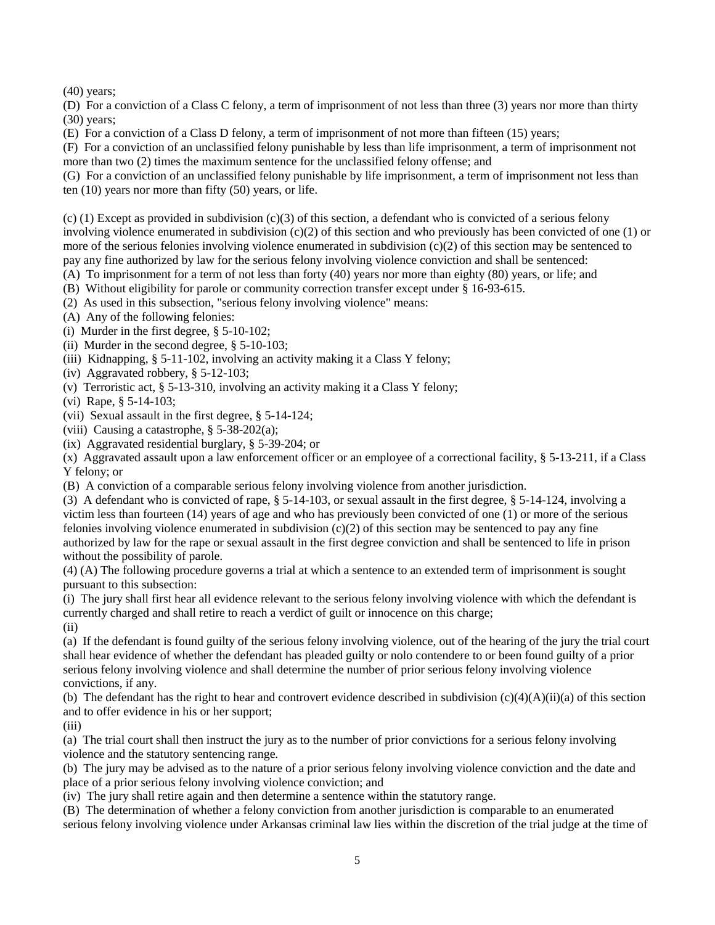(40) years;

(D) For a conviction of a Class C felony, a term of imprisonment of not less than three (3) years nor more than thirty (30) years;

(E) For a conviction of a Class D felony, a term of imprisonment of not more than fifteen (15) years;

(F) For a conviction of an unclassified felony punishable by less than life imprisonment, a term of imprisonment not more than two (2) times the maximum sentence for the unclassified felony offense; and

(G) For a conviction of an unclassified felony punishable by life imprisonment, a term of imprisonment not less than ten (10) years nor more than fifty (50) years, or life.

(c) (1) Except as provided in subdivision (c)(3) of this section, a defendant who is convicted of a serious felony involving violence enumerated in subdivision  $(c)(2)$  of this section and who previously has been convicted of one  $(1)$  or more of the serious felonies involving violence enumerated in subdivision (c)(2) of this section may be sentenced to pay any fine authorized by law for the serious felony involving violence conviction and shall be sentenced:

(A) To imprisonment for a term of not less than forty (40) years nor more than eighty (80) years, or life; and

(B) Without eligibility for parole or community correction transfer except under § 16-93-615.

(2) As used in this subsection, "serious felony involving violence" means:

(A) Any of the following felonies:

(i) Murder in the first degree, § 5-10-102;

(ii) Murder in the second degree, § 5-10-103;

(iii) Kidnapping, § 5-11-102, involving an activity making it a Class Y felony;

(iv) Aggravated robbery, § 5-12-103;

(v) Terroristic act, § 5-13-310, involving an activity making it a Class Y felony;

(vi) Rape, § 5-14-103;

(vii) Sexual assault in the first degree, § 5-14-124;

(viii) Causing a catastrophe, § 5-38-202(a);

(ix) Aggravated residential burglary, § 5-39-204; or

(x) Aggravated assault upon a law enforcement officer or an employee of a correctional facility, § 5-13-211, if a Class Y felony; or

(B) A conviction of a comparable serious felony involving violence from another jurisdiction.

(3) A defendant who is convicted of rape, § 5-14-103, or sexual assault in the first degree, § 5-14-124, involving a victim less than fourteen (14) years of age and who has previously been convicted of one (1) or more of the serious felonies involving violence enumerated in subdivision  $(c)(2)$  of this section may be sentenced to pay any fine authorized by law for the rape or sexual assault in the first degree conviction and shall be sentenced to life in prison without the possibility of parole.

(4) (A) The following procedure governs a trial at which a sentence to an extended term of imprisonment is sought pursuant to this subsection:

(i) The jury shall first hear all evidence relevant to the serious felony involving violence with which the defendant is currently charged and shall retire to reach a verdict of guilt or innocence on this charge;

(ii)

(a) If the defendant is found guilty of the serious felony involving violence, out of the hearing of the jury the trial court shall hear evidence of whether the defendant has pleaded guilty or nolo contendere to or been found guilty of a prior serious felony involving violence and shall determine the number of prior serious felony involving violence convictions, if any.

(b) The defendant has the right to hear and controvert evidence described in subdivision  $(c)(4)(A)(ii)(a)$  of this section and to offer evidence in his or her support;

(iii)

(a) The trial court shall then instruct the jury as to the number of prior convictions for a serious felony involving violence and the statutory sentencing range.

(b) The jury may be advised as to the nature of a prior serious felony involving violence conviction and the date and place of a prior serious felony involving violence conviction; and

(iv) The jury shall retire again and then determine a sentence within the statutory range.

(B) The determination of whether a felony conviction from another jurisdiction is comparable to an enumerated serious felony involving violence under Arkansas criminal law lies within the discretion of the trial judge at the time of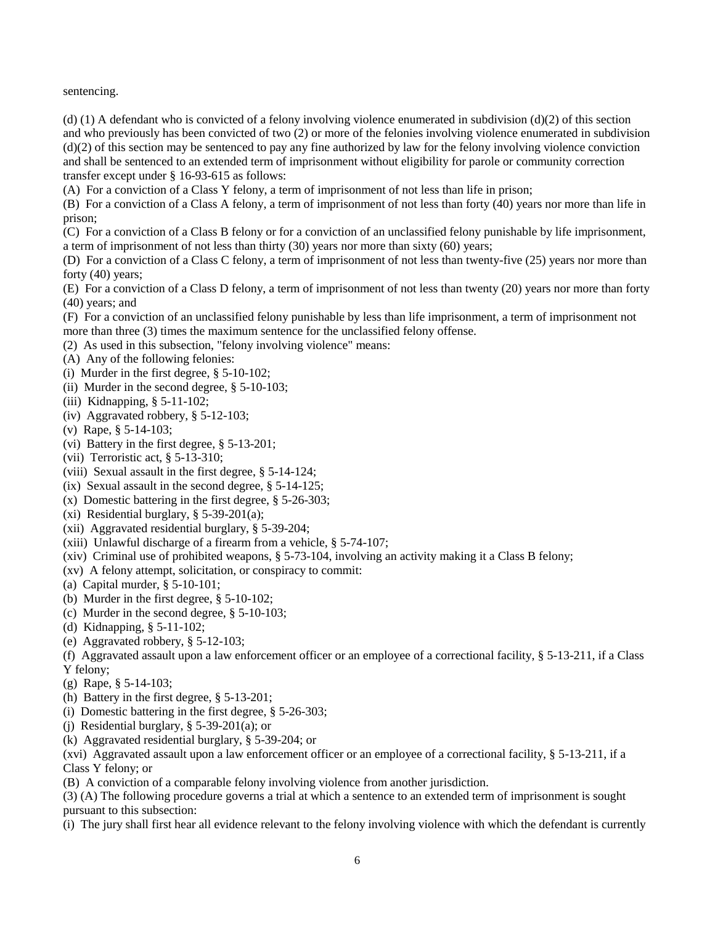sentencing.

(d) (1) A defendant who is convicted of a felony involving violence enumerated in subdivision (d)(2) of this section and who previously has been convicted of two (2) or more of the felonies involving violence enumerated in subdivision (d)(2) of this section may be sentenced to pay any fine authorized by law for the felony involving violence conviction and shall be sentenced to an extended term of imprisonment without eligibility for parole or community correction transfer except under § 16-93-615 as follows:

(A) For a conviction of a Class Y felony, a term of imprisonment of not less than life in prison;

(B) For a conviction of a Class A felony, a term of imprisonment of not less than forty (40) years nor more than life in prison;

(C) For a conviction of a Class B felony or for a conviction of an unclassified felony punishable by life imprisonment, a term of imprisonment of not less than thirty (30) years nor more than sixty (60) years;

(D) For a conviction of a Class C felony, a term of imprisonment of not less than twenty-five (25) years nor more than forty (40) years;

(E) For a conviction of a Class D felony, a term of imprisonment of not less than twenty (20) years nor more than forty (40) years; and

(F) For a conviction of an unclassified felony punishable by less than life imprisonment, a term of imprisonment not more than three (3) times the maximum sentence for the unclassified felony offense.

(2) As used in this subsection, "felony involving violence" means:

- (A) Any of the following felonies:
- (i) Murder in the first degree, § 5-10-102;
- (ii) Murder in the second degree, § 5-10-103;
- (iii) Kidnapping, § 5-11-102;
- (iv) Aggravated robbery, § 5-12-103;
- (v) Rape, § 5-14-103;
- (vi) Battery in the first degree, § 5-13-201;
- (vii) Terroristic act, § 5-13-310;
- (viii) Sexual assault in the first degree, § 5-14-124;
- (ix) Sexual assault in the second degree,  $\S$  5-14-125;
- (x) Domestic battering in the first degree, § 5-26-303;
- (xi) Residential burglary,  $\S$  5-39-201(a);
- (xii) Aggravated residential burglary, § 5-39-204;
- (xiii) Unlawful discharge of a firearm from a vehicle, § 5-74-107;
- (xiv) Criminal use of prohibited weapons, § 5-73-104, involving an activity making it a Class B felony;
- (xv) A felony attempt, solicitation, or conspiracy to commit:
- (a) Capital murder, § 5-10-101;
- (b) Murder in the first degree, § 5-10-102;
- (c) Murder in the second degree, § 5-10-103;
- (d) Kidnapping, § 5-11-102;
- (e) Aggravated robbery, § 5-12-103;
- (f) Aggravated assault upon a law enforcement officer or an employee of a correctional facility, § 5-13-211, if a Class Y felony;
- (g) Rape, § 5-14-103;
- (h) Battery in the first degree, § 5-13-201;
- (i) Domestic battering in the first degree, § 5-26-303;
- (j) Residential burglary,  $\S$  5-39-201(a); or
- (k) Aggravated residential burglary, § 5-39-204; or
- (xvi) Aggravated assault upon a law enforcement officer or an employee of a correctional facility,  $\S 5{\text -}13{\text -}211$ , if a Class Y felony; or
- (B) A conviction of a comparable felony involving violence from another jurisdiction.

(3) (A) The following procedure governs a trial at which a sentence to an extended term of imprisonment is sought pursuant to this subsection:

(i) The jury shall first hear all evidence relevant to the felony involving violence with which the defendant is currently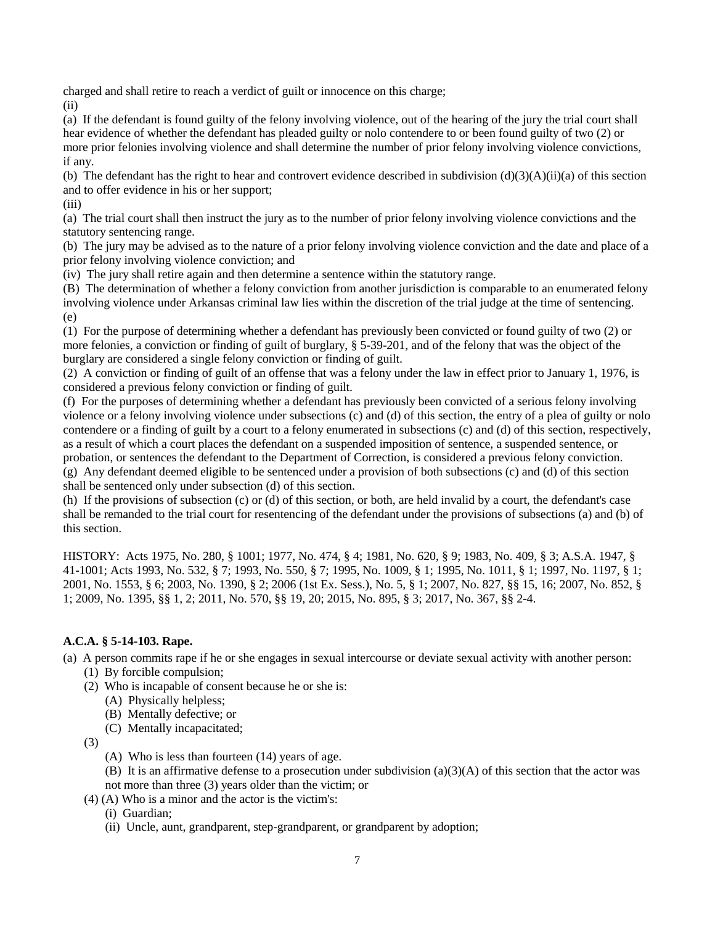charged and shall retire to reach a verdict of guilt or innocence on this charge;

(ii)

(a) If the defendant is found guilty of the felony involving violence, out of the hearing of the jury the trial court shall hear evidence of whether the defendant has pleaded guilty or nolo contendere to or been found guilty of two (2) or more prior felonies involving violence and shall determine the number of prior felony involving violence convictions, if any.

(b) The defendant has the right to hear and controvert evidence described in subdivision  $(d)(3)(A)(ii)(a)$  of this section and to offer evidence in his or her support;

(iii)

(a) The trial court shall then instruct the jury as to the number of prior felony involving violence convictions and the statutory sentencing range.

(b) The jury may be advised as to the nature of a prior felony involving violence conviction and the date and place of a prior felony involving violence conviction; and

(iv) The jury shall retire again and then determine a sentence within the statutory range.

(B) The determination of whether a felony conviction from another jurisdiction is comparable to an enumerated felony involving violence under Arkansas criminal law lies within the discretion of the trial judge at the time of sentencing. (e)

(1) For the purpose of determining whether a defendant has previously been convicted or found guilty of two (2) or more felonies, a conviction or finding of guilt of burglary, § 5-39-201, and of the felony that was the object of the burglary are considered a single felony conviction or finding of guilt.

(2) A conviction or finding of guilt of an offense that was a felony under the law in effect prior to January 1, 1976, is considered a previous felony conviction or finding of guilt.

(f) For the purposes of determining whether a defendant has previously been convicted of a serious felony involving violence or a felony involving violence under subsections (c) and (d) of this section, the entry of a plea of guilty or nolo contendere or a finding of guilt by a court to a felony enumerated in subsections (c) and (d) of this section, respectively, as a result of which a court places the defendant on a suspended imposition of sentence, a suspended sentence, or probation, or sentences the defendant to the Department of Correction, is considered a previous felony conviction. (g) Any defendant deemed eligible to be sentenced under a provision of both subsections (c) and (d) of this section shall be sentenced only under subsection (d) of this section.

(h) If the provisions of subsection (c) or (d) of this section, or both, are held invalid by a court, the defendant's case shall be remanded to the trial court for resentencing of the defendant under the provisions of subsections (a) and (b) of this section.

HISTORY: Acts 1975, No. 280, § 1001; 1977, No. 474, § 4; 1981, No. 620, § 9; 1983, No. 409, § 3; A.S.A. 1947, § 41-1001; Acts 1993, No. 532, § 7; 1993, No. 550, § 7; 1995, No. 1009, § 1; 1995, No. 1011, § 1; 1997, No. 1197, § 1; 2001, No. 1553, § 6; 2003, No. 1390, § 2; 2006 (1st Ex. Sess.), No. 5, § 1; 2007, No. 827, §§ 15, 16; 2007, No. 852, § 1; 2009, No. 1395, §§ 1, 2; 2011, No. 570, §§ 19, 20; 2015, No. 895, § 3; 2017, No. 367, §§ 2-4.

# **A.C.A. § 5-14-103. Rape.**

(a) A person commits rape if he or she engages in sexual intercourse or deviate sexual activity with another person:

- (1) By forcible compulsion;
- (2) Who is incapable of consent because he or she is:
	- (A) Physically helpless;
	- (B) Mentally defective; or
	- (C) Mentally incapacitated;
- (3)
	- (A) Who is less than fourteen (14) years of age.
	- (B) It is an affirmative defense to a prosecution under subdivision (a)(3)(A) of this section that the actor was
	- not more than three (3) years older than the victim; or
- (4) (A) Who is a minor and the actor is the victim's:
	- (i) Guardian;
	- (ii) Uncle, aunt, grandparent, step-grandparent, or grandparent by adoption;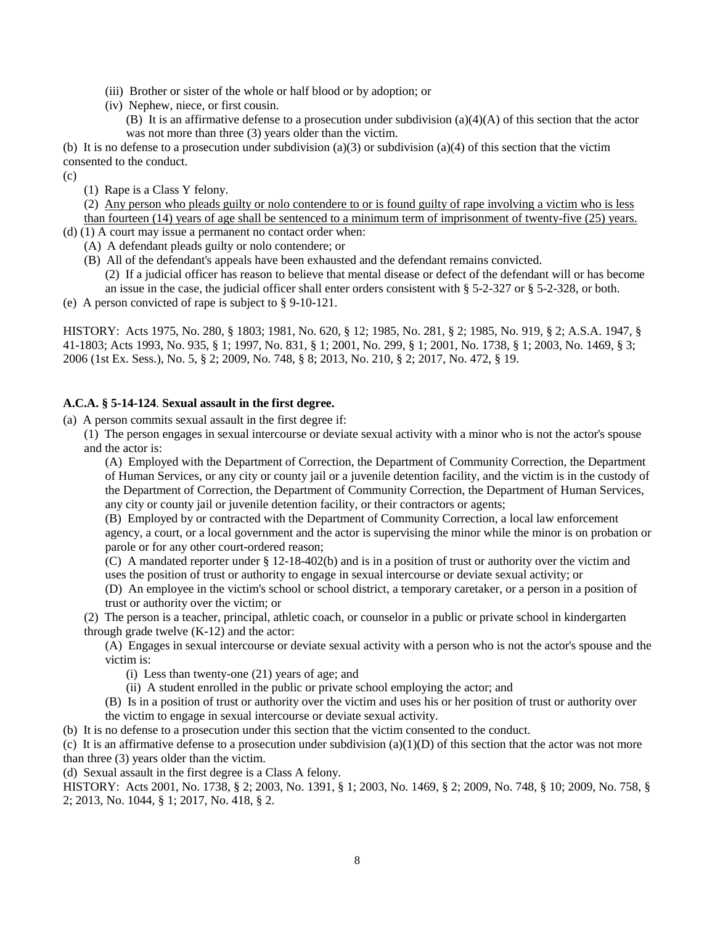- (iii) Brother or sister of the whole or half blood or by adoption; or
- (iv) Nephew, niece, or first cousin.
	- (B) It is an affirmative defense to a prosecution under subdivision (a)(4)(A) of this section that the actor was not more than three (3) years older than the victim.

(b) It is no defense to a prosecution under subdivision (a)(3) or subdivision (a)(4) of this section that the victim consented to the conduct.

 $(c)$ 

(1) Rape is a Class Y felony.

(2) Any person who pleads guilty or nolo contendere to or is found guilty of rape involving a victim who is less than fourteen (14) years of age shall be sentenced to a minimum term of imprisonment of twenty-five (25) years.

- (d) (1) A court may issue a permanent no contact order when:
	- (A) A defendant pleads guilty or nolo contendere; or
	- (B) All of the defendant's appeals have been exhausted and the defendant remains convicted.
		- (2) If a judicial officer has reason to believe that mental disease or defect of the defendant will or has become an issue in the case, the judicial officer shall enter orders consistent with § 5-2-327 or § 5-2-328, or both.
- (e) A person convicted of rape is subject to § 9-10-121.

HISTORY: Acts 1975, No. 280, § 1803; 1981, No. 620, § 12; 1985, No. 281, § 2; 1985, No. 919, § 2; A.S.A. 1947, § 41-1803; Acts 1993, No. 935, § 1; 1997, No. 831, § 1; 2001, No. 299, § 1; 2001, No. 1738, § 1; 2003, No. 1469, § 3; 2006 (1st Ex. Sess.), No. 5, § 2; 2009, No. 748, § 8; 2013, No. 210, § 2; 2017, No. 472, § 19.

#### **A.C.A. § 5-14-124**. **Sexual assault in the first degree.**

(a) A person commits sexual assault in the first degree if:

(1) The person engages in sexual intercourse or deviate sexual activity with a minor who is not the actor's spouse and the actor is:

(A) Employed with the Department of Correction, the Department of Community Correction, the Department of Human Services, or any city or county jail or a juvenile detention facility, and the victim is in the custody of the Department of Correction, the Department of Community Correction, the Department of Human Services, any city or county jail or juvenile detention facility, or their contractors or agents;

(B) Employed by or contracted with the Department of Community Correction, a local law enforcement agency, a court, or a local government and the actor is supervising the minor while the minor is on probation or parole or for any other court-ordered reason;

(C) A mandated reporter under § 12-18-402(b) and is in a position of trust or authority over the victim and uses the position of trust or authority to engage in sexual intercourse or deviate sexual activity; or

(D) An employee in the victim's school or school district, a temporary caretaker, or a person in a position of trust or authority over the victim; or

(2) The person is a teacher, principal, athletic coach, or counselor in a public or private school in kindergarten through grade twelve  $(K-12)$  and the actor:

(A) Engages in sexual intercourse or deviate sexual activity with a person who is not the actor's spouse and the victim is:

- (i) Less than twenty-one (21) years of age; and
- (ii) A student enrolled in the public or private school employing the actor; and
- (B) Is in a position of trust or authority over the victim and uses his or her position of trust or authority over the victim to engage in sexual intercourse or deviate sexual activity.

(b) It is no defense to a prosecution under this section that the victim consented to the conduct.

(c) It is an affirmative defense to a prosecution under subdivision  $(a)(1)(D)$  of this section that the actor was not more than three (3) years older than the victim.

(d) Sexual assault in the first degree is a Class A felony.

HISTORY: Acts 2001, No. 1738, § 2; 2003, No. 1391, § 1; 2003, No. 1469, § 2; 2009, No. 748, § 10; 2009, No. 758, § 2; 2013, No. 1044, § 1; 2017, No. 418, § 2.